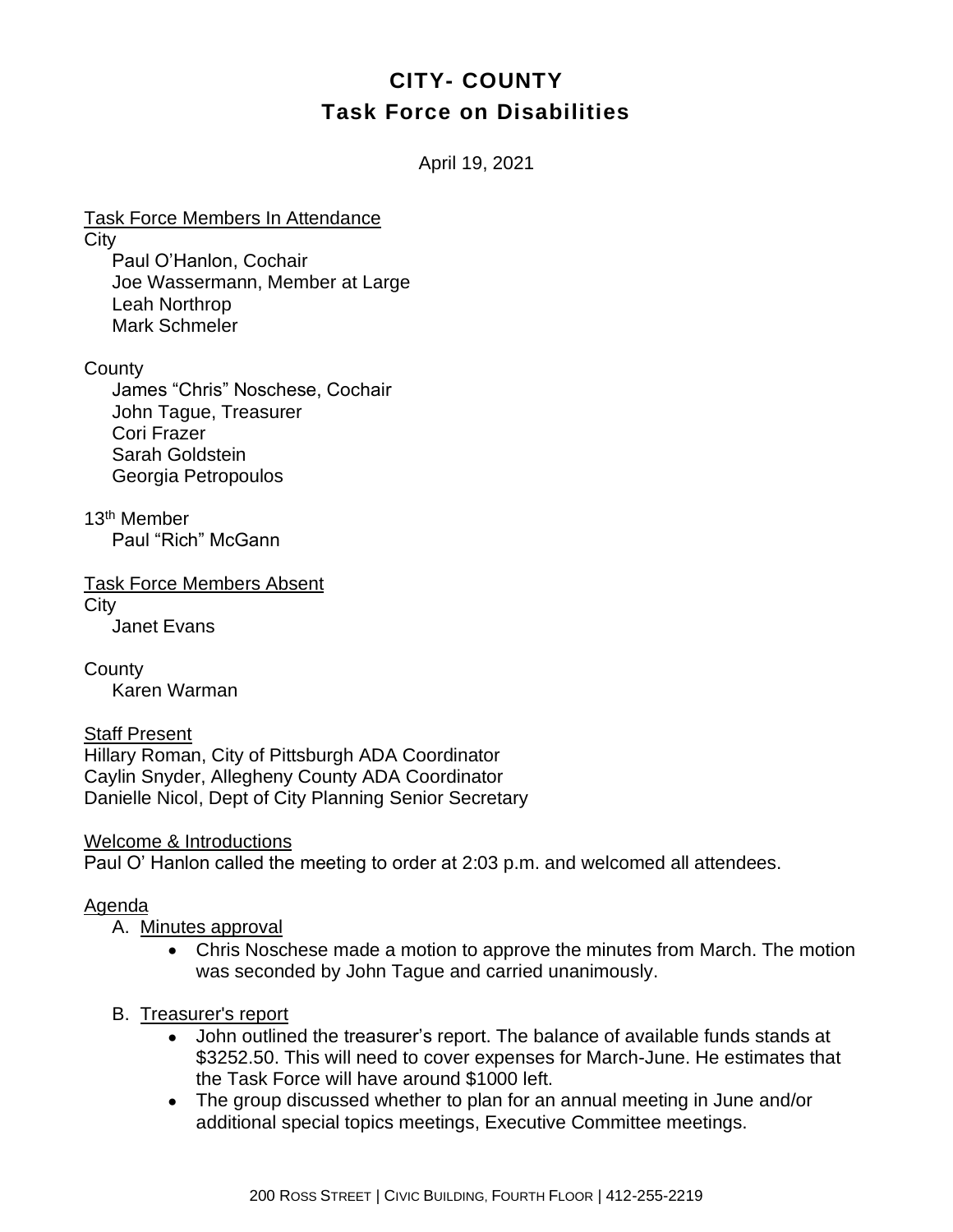# **CITY- COUNTY Task Force on Disabilities**

April 19, 2021

Task Force Members In Attendance **City** Paul O'Hanlon, Cochair Joe Wassermann, Member at Large Leah Northrop Mark Schmeler

**County** 

James "Chris" Noschese, Cochair John Tague, Treasurer Cori Frazer Sarah Goldstein Georgia Petropoulos

13<sup>th</sup> Member Paul "Rich" McGann

Task Force Members Absent **City** Janet Evans

**County** Karen Warman

Staff Present Hillary Roman, City of Pittsburgh ADA Coordinator Caylin Snyder, Allegheny County ADA Coordinator Danielle Nicol, Dept of City Planning Senior Secretary

Welcome & Introductions Paul O' Hanlon called the meeting to order at 2:03 p.m. and welcomed all attendees.

#### Agenda

# A. Minutes approval

- Chris Noschese made a motion to approve the minutes from March. The motion was seconded by John Tague and carried unanimously.
- B. Treasurer's report
	- John outlined the treasurer's report. The balance of available funds stands at \$3252.50. This will need to cover expenses for March-June. He estimates that the Task Force will have around \$1000 left.
	- The group discussed whether to plan for an annual meeting in June and/or additional special topics meetings, Executive Committee meetings.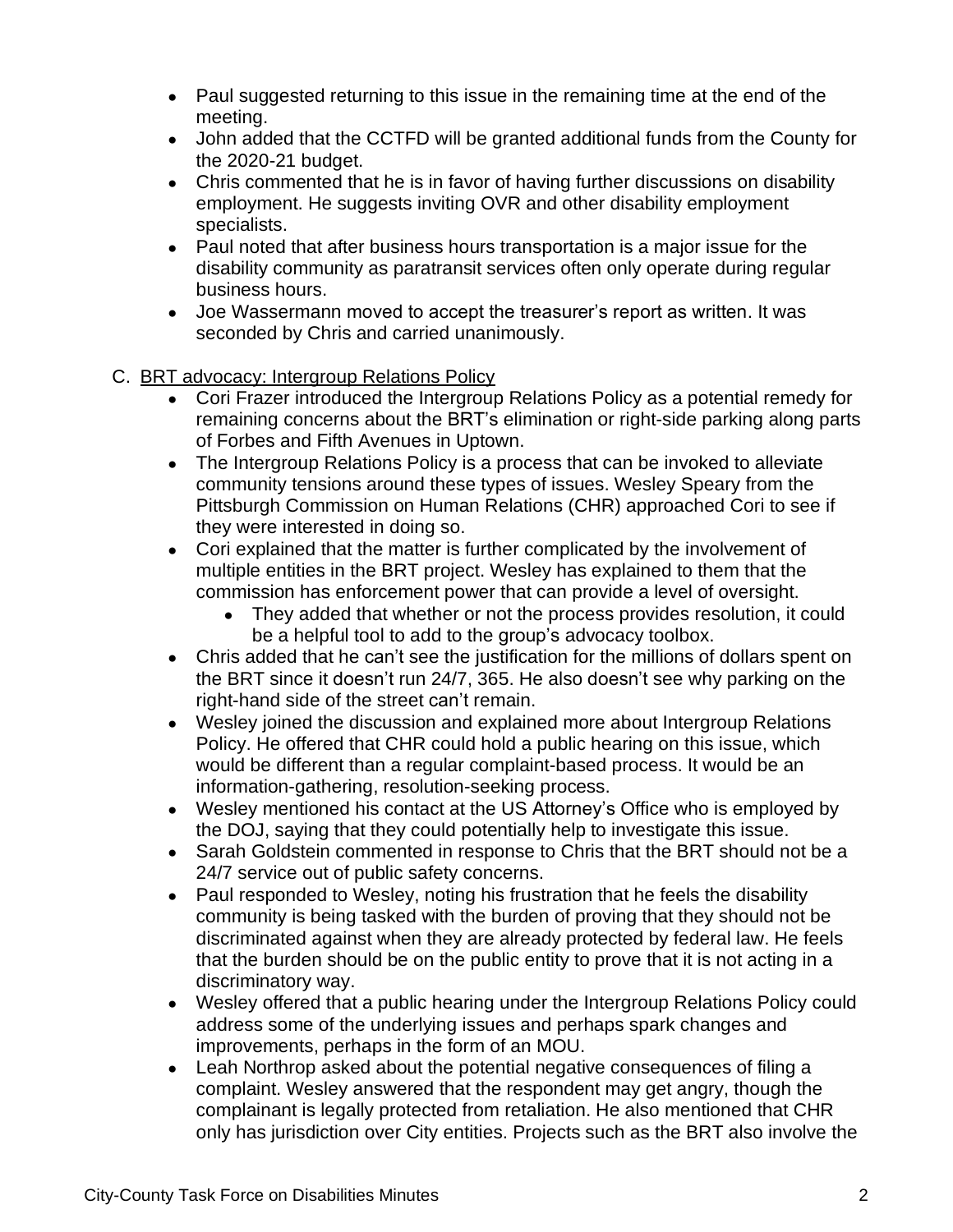- Paul suggested returning to this issue in the remaining time at the end of the meeting.
- John added that the CCTFD will be granted additional funds from the County for the 2020-21 budget.
- Chris commented that he is in favor of having further discussions on disability employment. He suggests inviting OVR and other disability employment specialists.
- Paul noted that after business hours transportation is a major issue for the disability community as paratransit services often only operate during regular business hours.
- Joe Wassermann moved to accept the treasurer's report as written. It was seconded by Chris and carried unanimously.
- C. BRT advocacy: Intergroup Relations Policy
	- Cori Frazer introduced the Intergroup Relations Policy as a potential remedy for remaining concerns about the BRT's elimination or right-side parking along parts of Forbes and Fifth Avenues in Uptown.
	- The Intergroup Relations Policy is a process that can be invoked to alleviate community tensions around these types of issues. Wesley Speary from the Pittsburgh Commission on Human Relations (CHR) approached Cori to see if they were interested in doing so.
	- Cori explained that the matter is further complicated by the involvement of multiple entities in the BRT project. Wesley has explained to them that the commission has enforcement power that can provide a level of oversight.
		- They added that whether or not the process provides resolution, it could be a helpful tool to add to the group's advocacy toolbox.
	- Chris added that he can't see the justification for the millions of dollars spent on the BRT since it doesn't run 24/7, 365. He also doesn't see why parking on the right-hand side of the street can't remain.
	- Wesley joined the discussion and explained more about Intergroup Relations Policy. He offered that CHR could hold a public hearing on this issue, which would be different than a regular complaint-based process. It would be an information-gathering, resolution-seeking process.
	- Wesley mentioned his contact at the US Attorney's Office who is employed by the DOJ, saying that they could potentially help to investigate this issue.
	- Sarah Goldstein commented in response to Chris that the BRT should not be a 24/7 service out of public safety concerns.
	- Paul responded to Wesley, noting his frustration that he feels the disability community is being tasked with the burden of proving that they should not be discriminated against when they are already protected by federal law. He feels that the burden should be on the public entity to prove that it is not acting in a discriminatory way.
	- Wesley offered that a public hearing under the Intergroup Relations Policy could address some of the underlying issues and perhaps spark changes and improvements, perhaps in the form of an MOU.
	- Leah Northrop asked about the potential negative consequences of filing a complaint. Wesley answered that the respondent may get angry, though the complainant is legally protected from retaliation. He also mentioned that CHR only has jurisdiction over City entities. Projects such as the BRT also involve the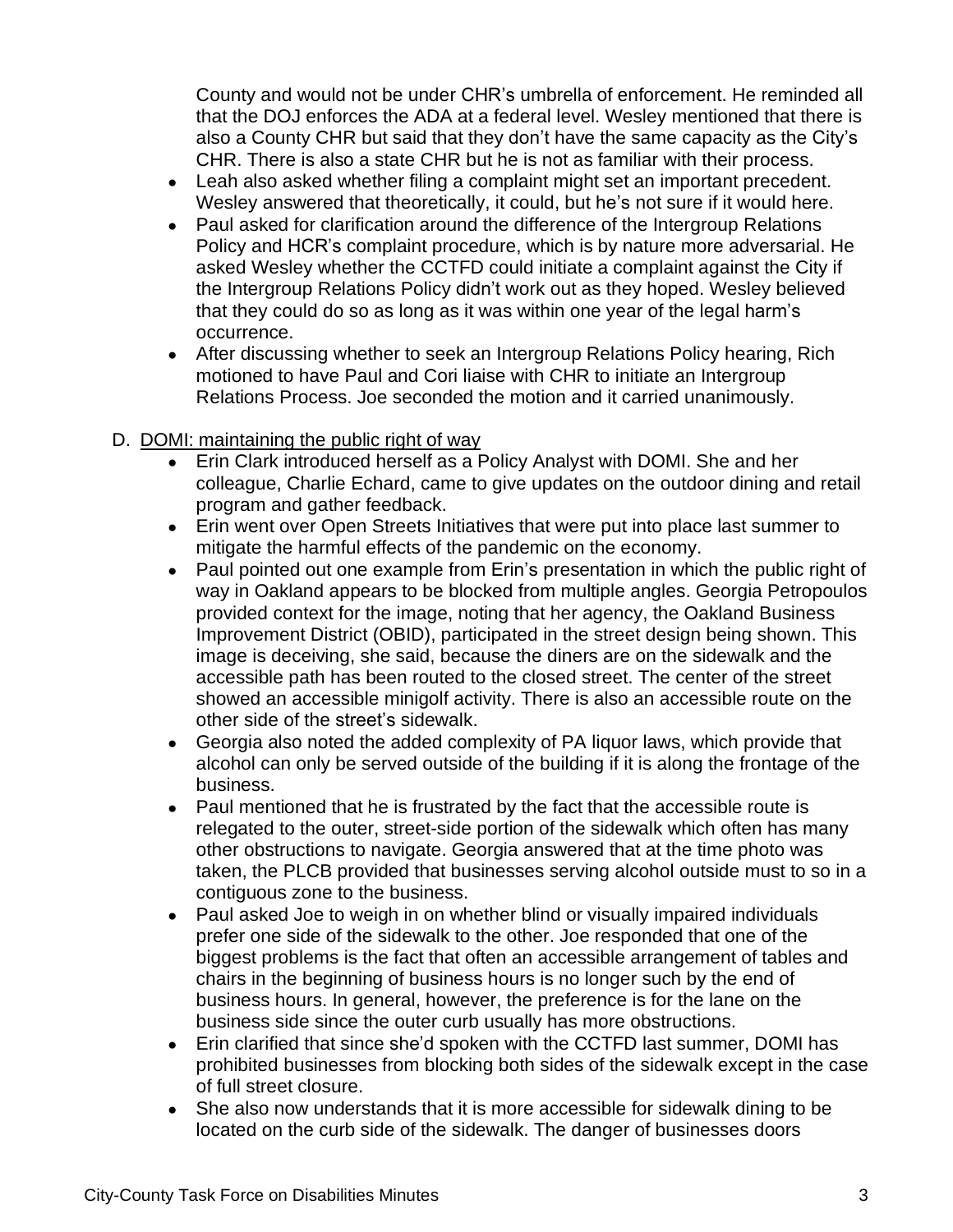County and would not be under CHR's umbrella of enforcement. He reminded all that the DOJ enforces the ADA at a federal level. Wesley mentioned that there is also a County CHR but said that they don't have the same capacity as the City's CHR. There is also a state CHR but he is not as familiar with their process.

- Leah also asked whether filing a complaint might set an important precedent. Wesley answered that theoretically, it could, but he's not sure if it would here.
- Paul asked for clarification around the difference of the Intergroup Relations Policy and HCR's complaint procedure, which is by nature more adversarial. He asked Wesley whether the CCTFD could initiate a complaint against the City if the Intergroup Relations Policy didn't work out as they hoped. Wesley believed that they could do so as long as it was within one year of the legal harm's occurrence.
- After discussing whether to seek an Intergroup Relations Policy hearing, Rich motioned to have Paul and Cori liaise with CHR to initiate an Intergroup Relations Process. Joe seconded the motion and it carried unanimously.

# D. DOMI: maintaining the public right of way

- Erin Clark introduced herself as a Policy Analyst with DOMI. She and her colleague, Charlie Echard, came to give updates on the outdoor dining and retail program and gather feedback.
- Erin went over Open Streets Initiatives that were put into place last summer to mitigate the harmful effects of the pandemic on the economy.
- Paul pointed out one example from Erin's presentation in which the public right of way in Oakland appears to be blocked from multiple angles. Georgia Petropoulos provided context for the image, noting that her agency, the Oakland Business Improvement District (OBID), participated in the street design being shown. This image is deceiving, she said, because the diners are on the sidewalk and the accessible path has been routed to the closed street. The center of the street showed an accessible minigolf activity. There is also an accessible route on the other side of the street's sidewalk.
- Georgia also noted the added complexity of PA liquor laws, which provide that alcohol can only be served outside of the building if it is along the frontage of the business.
- Paul mentioned that he is frustrated by the fact that the accessible route is relegated to the outer, street-side portion of the sidewalk which often has many other obstructions to navigate. Georgia answered that at the time photo was taken, the PLCB provided that businesses serving alcohol outside must to so in a contiguous zone to the business.
- Paul asked Joe to weigh in on whether blind or visually impaired individuals prefer one side of the sidewalk to the other. Joe responded that one of the biggest problems is the fact that often an accessible arrangement of tables and chairs in the beginning of business hours is no longer such by the end of business hours. In general, however, the preference is for the lane on the business side since the outer curb usually has more obstructions.
- Erin clarified that since she'd spoken with the CCTFD last summer, DOMI has prohibited businesses from blocking both sides of the sidewalk except in the case of full street closure.
- She also now understands that it is more accessible for sidewalk dining to be located on the curb side of the sidewalk. The danger of businesses doors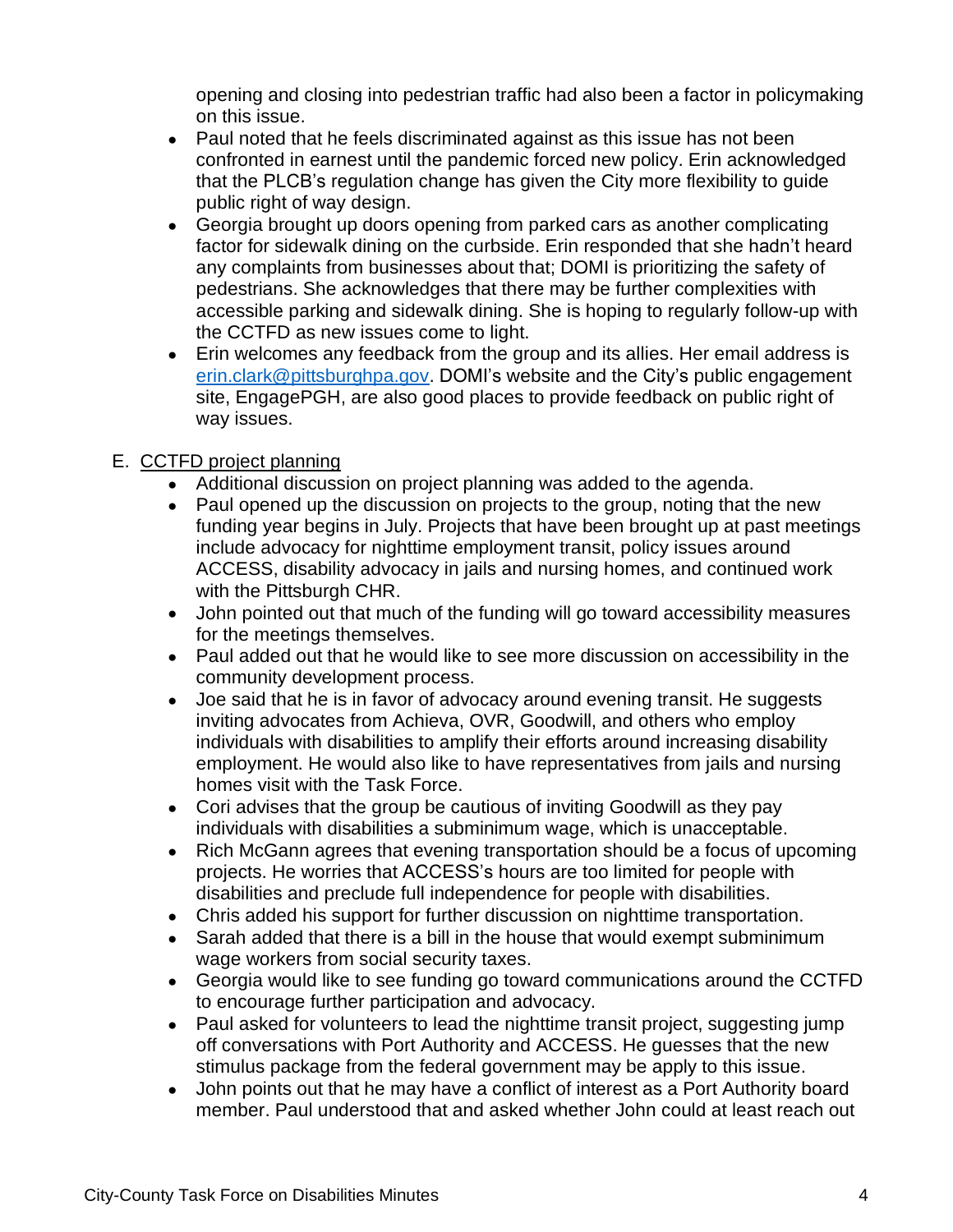opening and closing into pedestrian traffic had also been a factor in policymaking on this issue.

- Paul noted that he feels discriminated against as this issue has not been confronted in earnest until the pandemic forced new policy. Erin acknowledged that the PLCB's regulation change has given the City more flexibility to guide public right of way design.
- Georgia brought up doors opening from parked cars as another complicating factor for sidewalk dining on the curbside. Erin responded that she hadn't heard any complaints from businesses about that; DOMI is prioritizing the safety of pedestrians. She acknowledges that there may be further complexities with accessible parking and sidewalk dining. She is hoping to regularly follow-up with the CCTFD as new issues come to light.
- Erin welcomes any feedback from the group and its allies. Her email address is [erin.clark@pittsburghpa.gov.](mailto:erin.clark@pittsburghpa.gov) DOMI's website and the City's public engagement site, EngagePGH, are also good places to provide feedback on public right of way issues.

# E. CCTFD project planning

- Additional discussion on project planning was added to the agenda.
- Paul opened up the discussion on projects to the group, noting that the new funding year begins in July. Projects that have been brought up at past meetings include advocacy for nighttime employment transit, policy issues around ACCESS, disability advocacy in jails and nursing homes, and continued work with the Pittsburgh CHR.
- John pointed out that much of the funding will go toward accessibility measures for the meetings themselves.
- Paul added out that he would like to see more discussion on accessibility in the community development process.
- Joe said that he is in favor of advocacy around evening transit. He suggests inviting advocates from Achieva, OVR, Goodwill, and others who employ individuals with disabilities to amplify their efforts around increasing disability employment. He would also like to have representatives from jails and nursing homes visit with the Task Force.
- Cori advises that the group be cautious of inviting Goodwill as they pay individuals with disabilities a subminimum wage, which is unacceptable.
- Rich McGann agrees that evening transportation should be a focus of upcoming projects. He worries that ACCESS's hours are too limited for people with disabilities and preclude full independence for people with disabilities.
- Chris added his support for further discussion on nighttime transportation.
- Sarah added that there is a bill in the house that would exempt subminimum wage workers from social security taxes.
- Georgia would like to see funding go toward communications around the CCTFD to encourage further participation and advocacy.
- Paul asked for volunteers to lead the nighttime transit project, suggesting jump off conversations with Port Authority and ACCESS. He guesses that the new stimulus package from the federal government may be apply to this issue.
- John points out that he may have a conflict of interest as a Port Authority board member. Paul understood that and asked whether John could at least reach out